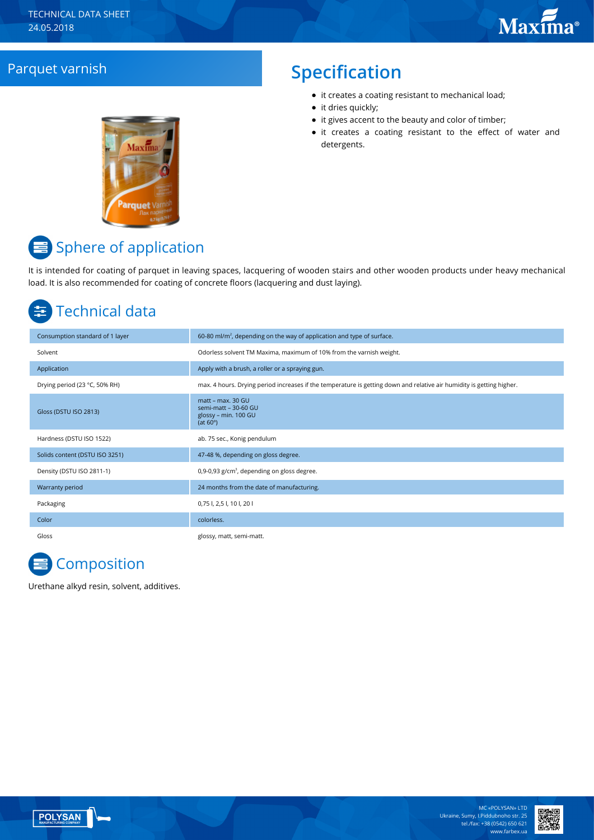## **Parquet varnish Specification**

- it creates a coating resistant to mechanical load;
- it dries quickly;
- it gives accent to the beauty and color of timber;
- it creates a coating resistant to the effect of water and detergents.



# **■** Sphere of application

It is intended for coating of parquet in leaving spaces, lacquering of wooden stairs and other wooden products under heavy mechanical load. It is also recommended for coating of concrete floors (lacquering and dust laying).

# Technical data

| Consumption standard of 1 layer | 60-80 ml/m <sup>2</sup> , depending on the way of application and type of surface.                                    |
|---------------------------------|-----------------------------------------------------------------------------------------------------------------------|
| Solvent                         | Odorless solvent TM Maxima, maximum of 10% from the varnish weight.                                                   |
| Application                     | Apply with a brush, a roller or a spraying gun.                                                                       |
| Drying period (23 °C, 50% RH)   | max. 4 hours. Drying period increases if the temperature is getting down and relative air humidity is getting higher. |
| Gloss (DSTU ISO 2813)           | matt – max. 30 GU<br>semi-matt - 30-60 GU<br>glossy - min. 100 GU<br>(at $60^\circ$ )                                 |
| Hardness (DSTU ISO 1522)        | ab. 75 sec., Konig pendulum                                                                                           |
| Solids content (DSTU ISO 3251)  | 47-48 %, depending on gloss degree.                                                                                   |
| Density (DSTU ISO 2811-1)       | 0,9-0,93 g/cm <sup>3</sup> , depending on gloss degree.                                                               |
| Warranty period                 | 24 months from the date of manufacturing.                                                                             |
| Packaging                       | 0,75 l, 2,5 l, 10 l, 20 l                                                                                             |
| Color                           | colorless.                                                                                                            |
| Gloss                           | glossy, matt, semi-matt.                                                                                              |

# **E** Composition

Urethane alkyd resin, solvent, additives.